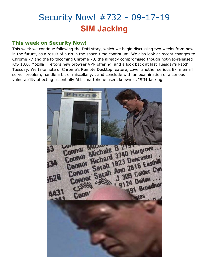# Security Now! #732 - 09-17-19 **SIM Jacking**

### **This week on Security Now!**

This week we continue following the DoH story, which we begin discussing two weeks from now, in the future, as a result of a rip in the space-time continuum. We also look at recent changes to Chrome 77 and the forthcoming Chrome 78, the already compromised though not-yet-released iOS 13.0, Mozilla Firefox's new browser VPN offering, and a look back at last Tuesday's Patch Tuesday. We take note of Chrome's Remote Desktop feature, cover another serious Exim email server problem, handle a bit of miscellany... and conclude with an examination of a serious vulnerability affecting essentially ALL smartphone users known as "SIM Jacking."

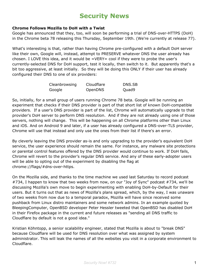## **Security News**

### **Chrome Follows Mozilla to DoH with a Twist**

Google has announced that they, too, will soon be performing a trial of DNS-over-HTTPS (DoH) in the Chrome beta 78 releasing this Thursday, September 19th. (We're currently at release 77).

What's interesting is that, rather than having Chrome pre-configured with a default DoH server like their own, Google will, instead, attempt to PRESERVE whatever DNS the user already has chosen. I LOVE this idea, and it would be =VERY= cool if they were to probe the user's currently-selected DNS for DoH support, test it locally, then switch to it. But apparently that's a bit too aggressive, at least initially. So they will be doing this ONLY if their user has already configured their DNS to one of six providers:

| Cleanbrowsing | Cloudflare | DNS.SB |
|---------------|------------|--------|
| Google        | OpenDNS    | Quad9  |

So, initially, for a small group of users running Chrome 78 beta. Google will be running an experiment that checks if their DNS provider is part of that short list of known DoH-compatible providers. If a user's DNS provider is part of the list, Chrome will automatically upgrade to that provider's DoH server to perform DNS resolution. And if they are not already using one of those servers, nothing will change. This will be happening on all Chrome platforms other than Linux and iOS. And on Android 9 and later, if a user has already configured a DNS-over-TLS provider, Chrome will use that instead and only use the ones from their list if there's an error.

By cleverly leaving the DNS provider as-is and only upgrading to the provider's equivalent DoH service, the user experience should remain the same. For instance, any malware site protections or parental control features offered by the DNS provider would continue to work. If DoH fails, Chrome will revert to the provider's regular DNS service. And any of these early-adopter users will be able to opting out of the experiment by disabling the flag at chrome://flags/#dns-over-https.

On the Mozilla side, and thanks to the time machine we used last Saturday to record podcast #734, I happen to know that two weeks from now, on our "Joy of Sync" podcast #734, we'll be discussing Mozilla's own move to begin experimenting with enabling DoH-by-Default for their users. But it turns out that as news of Mozilla's plans spread, which, by the way, I was unaware of two weeks from now due to a temporal paradox, Mozilla will have since received some pushback from Linux distro maintainers and some network admins. In an example quoted by BleepingComputer, OpenBSD developer Peter Hessler tweeted that OpenBSD has disabled DoH in their Firefox package in the current and future releases as "sending all DNS traffic to Cloudflare by default is not a good idea."

Kristian Köhntopp, a senior scalability engineer, stated that Mozilla is about to "break DNS" because Cloudflare will be used for DNS resolution over what was assigned by system administrator. This will leak the names of all the websites you visit in a corporate environment to Cloudflare.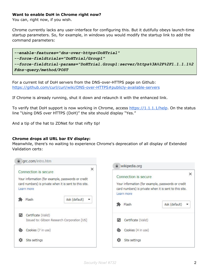### **Want to enable DoH in Chrome right now?**

You can, right now, if you wish.

Chrome currently lacks any user-interface for configuring this. But it dutifully obeys launch-time startup parameters. So, for example, in windows you would modify the startup link to add the command parameters:

```
--enable-features="dns-over-https<DoHTrial"
--force-fieldtrials="DoHTrial/Group1"
--force-fieldtrial-params="DoHTrial.Group1:server/https%3A%2F%2F1.1.1.1%2
Fdns-query/method/POST
```
For a current list of DoH servers from the DNS-over-HTTPS page on Github: <https://github.com/curl/curl/wiki/DNS-over-HTTPS#publicly-available-servers>

If Chrome is already running, shut it down and relaunch it with the enhanced link.

To verify that DoH [s](https://1.1.1.1/help)upport is now working in Chrome, access <https://1.1.1.1/help>. On the status line "Using DNS over HTTPS (DoH)" the site should display "Yes."

And a tip of the hat to ZDNet for that nifty tip!

### **Chrome drops all URL bar EV display:**

Meanwhile, there's no waiting to experience Chrome's deprecation of all display of Extended Validation certs:

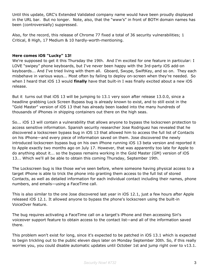Until this update, GRC's Extended Validated company name would have been proudly displayed in the URL bar. But no longer. Note, also, that the "www's" in front of BOTH domain names has been (controversially) suppressed.

Also, for the record, this release of Chrome 77 fixed a total of 36 security vulnerabilities; 1 Critical, 8 High, 17 Medium & 10 hardly-worth-mentioning.

### **Here comes iOS "Lucky" 13!**

We're supposed to get it this Thursday the 19th. And I'm excited for one feature in particular: I LOVE "swipey" phone keyboards, but I've never been happy with the 3rd-party iOS add-on keyboards... And I've tried living with them all. Gboard, Swype, SwiftKey, and so on. They each misbehave in various ways... Most often by failing to deploy on-screen when they're needed. So when I heard that iOS 13 would **finally** have that built-in I was finally excited about a new iOS release.

But it turns out that iOS 13 will be jumping to 13.1 very soon after release 13.0.0, since a headline grabbing Lock Screen Bypass bug is already known to exist, and to still exist in the "Gold Master" version of iOS 13 that has already been loaded into the many hundreds of thousands of iPhones in shipping containers out there on the high seas.

So... iOS 13 will contain a vulnerability that allows anyone to bypass the lockscreen protection to access sensitive information. Spanish security researcher Jose Rodriguez has revealed that he discovered a lockscreen bypass bug in iOS 13 that allowed him to access the full list of Contacts on his iPhone—and every piece of information saved on them. Jose discovered the newly introduced lockscreen bypass bug on his own iPhone running iOS 13 beta version and reported it to Apple exactly two months ago on July 17. However, that was apparently too late for Apple to do anything about it... so the bypass remains working in the Gold Master (GM) version of iOS 13... Which we'll all be able to obtain this coming Thursday, September 19th.

The Lockscreen bug is like those we've seen before, where someone having physical access to a target iPhone is able to trick the phone into granting them access to the full list of stored Contacts, as well as detailed information for each individual contact including their names, phone numbers, and emails—using a FaceTime call.

This is also similar to the one Jose discovered last year in iOS 12.1, just a few hours after Apple released iOS 12.1. It allowed anyone to bypass the phone's lockscreen using the built-in VoiceOver feature.

The bug requires activating a FaceTime call on a target's iPhone and then accessing Siri's voiceover support feature to obtain access to the contact list—and all of the information saved there.

This problem won't exist for long, since it's expected to be patched in iOS 13.1 which is expected to begin trickling out to the public eleven days later on Monday September 30th. So, if this really worries you, you could disable automatic updates until October 1st and jump right over to v13.1.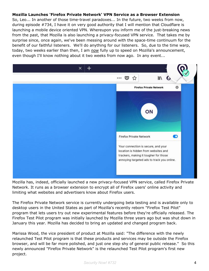### **Mozilla Launches 'Firefox Private Network' VPN Service as a Browser Extension**

So, Leo... In another of those time-travel paradoxes... In the future, two weeks from now, during episode #734, I have it on very good authority that I will mention that Cloudflare is launching a mobile device oriented VPN. Whereupon you inform me of the just-breaking news from the past, that Mozilla is also launching a privacy-focused VPN service. That takes me by surprise since, once again, we've been messing around with the space-time continuum for the benefit of our faithful listeners. We'll do anything for our listeners. So, due to the time warp, today, two weeks earlier than then, I am *now* fully up to speed on Mozilla's announcement, even though I'll know nothing about it two weeks from now ago. In any event...



Mozilla has, indeed, officially launched a new privacy-focused VPN service, called Firefox Private Network. It runs as a browser extension to encrypt all of Firefox users' online activity and limiting what websites and advertisers know about Firefox users.

The Firefox Private Network service is currently undergoing beta testing and is available only to desktop users in the United States as part of Mozilla's recently reborn "Firefox Test Pilot" program that lets users try out new experimental features before they're officially released. The Firefox Test Pilot program was initially launched by Mozilla three years ago but was shut down in January this year. Mozilla has decided to bring an updated and changed program back.

Marissa Wood, the vice president of product at Mozilla said: "The difference with the newly relaunched Test Pilot program is that these products and services may be outside the Firefox browser, and will be far more polished, and just one step shy of general public release." So this newly announced "Firefox Private Network" is the relaunched Test Pilot program's first new project.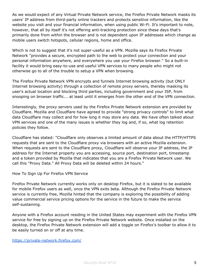As we would expect of any Virtual Private Network service, the Firefox Private Network masks its users' IP address from third-party online trackers and protects sensitive information, like the website you visit and your financial information, when using public Wi-Fi. It's important to note, however, that all by itself it's not offering anti-tracking protection since these days that's primarily done from within the browser and is not dependent upon IP addresses which change as mobile users switch hotspots, cellular regions, home and office.

Which is not to suggest that it's not super-useful as a VPN. Mozilla says its Firefox Private Network "provides a secure, encrypted path to the web to protect your connection and your personal information anywhere, and everywhere you use your Firefox browser." So a built-in facility it would bring easy-to-use and useful VPN services to many people who might not otherwise go to all of the trouble to setup a VPN when browsing.

The Firefox Private Network VPN encrypts and funnels Internet browsing activity (but ONLY Internet browsing activity) through a collection of remote proxy servers, thereby masking its user's actual location and blocking third parties, including government and your ISP, from snooping on browser traffic... at least until it emerges from the other end of the VPN connection.

Interestingly, the proxy servers used by the Firefox Private Network extension are provided by Cloudflare. Mozilla and Cloudflare have agreed to provide "strong privacy controls" to limit what data Cloudflare may collect and for how long it may store any data. We have often talked about VPN services and one of the many issues is whether they log and, if so, what log retention policies they follow.

Cloudflare has stated: "Cloudflare only observes a limited amount of data about the HTTP/HTTPS requests that are sent to the Cloudflare proxy via browsers with an active Mozilla extension. When requests are sent to the Cloudflare proxy, Cloudflare will observe your IP address, the IP address for the Internet property you are accessing, source port, destination port, timestamp and a token provided by Mozilla that indicates that you are a Firefox Private Network user. We call this "Proxy Data." All Proxy Data will be deleted within 24 hours."

How To Sign Up For Firefox VPN Service

Firefox Private Network currently works only on desktop Firefox, but it is slated to be available for mobile Firefox users as well, once the VPN exits beta. Although the Firefox Private Network service is currently free, Mozilla hinted that the company is exploring the possibility of adding value commercial service pricing options for the service in the future to make the service self-sustaining.

Anyone with a Firefox account residing in the United States may experiment with the Firefox VPN service for free by signing up on the Firefox Private Network website. Once installed on the desktop, the Firefox Private Network extension will add a toggle on Firefox's toolbar to allow it to be easily turned on or off at any time.

<https://private-network.firefox.com/>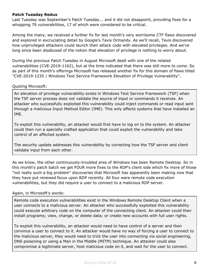### **Patch Tuesday Redux**

Last Tuesday was September's Patch Tuesday... and it did not disappoint, providing fixes for a whopping 79 vulnerabilities, 17 of which were considered to be critical.

Among the many, we received a further fix for last month's very worrisome CTF flaws discovered and explored in excruciating detail by Google's Tavis Ormandy. As we'll recall, Tavis discovered how unprivileged attackers could launch their attack code with elevated privileges. And we've long since been disabused of the notion that elevation of privilege is nothing to worry about.

During the previous Patch Tuesday in August Microsoft dealt with one of the related vulnerabilities (CVE-2019-1162), but at the time indicated that there was still more to come. So as part of this month's offerings Microsoft has released another fix for this domain of flaws titled "CVE-2019-1235 | Windows Text Service Framework Elevation of Privilege Vulnerability".

### Quoting Microsoft:

An elevation of privilege vulnerability exists in Windows Text Service Framework (TSF) when the TSF server process does not validate the source of input or commands it receives. An attacker who successfully exploited this vulnerability could inject commands or read input sent through a malicious Input Method Editor (IME). This only affects systems that have installed an IME.

To exploit this vulnerability, an attacker would first have to log on to the system. An attacker could then run a specially crafted application that could exploit the vulnerability and take control of an affected system.

The security update addresses this vulnerability by correcting how the TSF server and client validate input from each other.

As we know, the other continuously-troubled area of Windows has been Remote Desktop. So in this month's patch batch we get FOUR more fixes to the RDP's client side which fix more of those "not really such a big problem" discoveries that Microsoft has apparently been making now that they have put renewed focus upon RDP recently. All four were remote code execution vulnerabilities, but they did require a user to connect to a malicious RDP server.

### Again, in Microsoft's words:

Remote code execution vulnerabilities exist in the Windows Remote Desktop Client when a user connects to a malicious server. An attacker who successfully exploited this vulnerability could execute arbitrary code on the computer of the connecting client. An attacker could then install programs; view, change, or delete data; or create new accounts with full user rights.

To exploit this vulnerability, an attacker would need to have control of a server and then convince a user to connect to it. An attacker would have no way of forcing a user to connect to the malicious server, they would need to trick the user into connecting via social engineering, DNS poisoning or using a Man in the Middle (MITM) technique. An attacker could also compromise a legitimate server, host malicious code on it, and wait for the user to connect.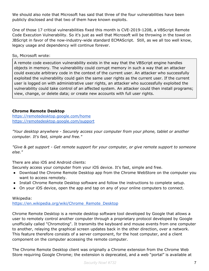We should also note that Microsoft has said that three of the four vulnerabilities have been publicly disclosed and that two of them have known exploits.

One of those 17 critical vulnerabilities fixed this month is CVE-2019-1208, a VBScript Remote Code Execution Vulnerability. So it's just as well that Microsoft will be throwing in the towel on JBScript in favor of the now-industry-wide standard ECMAScript. Still, as we all too well know, legacy usage and dependency will continue forever.

So, Microsoft wrote:

A remote code execution vulnerability exists in the way that the VBScript engine handles objects in memory. The vulnerability could corrupt memory in such a way that an attacker could execute arbitrary code in the context of the current user. An attacker who successfully exploited the vulnerability could gain the same user rights as the current user. If the current user is logged on with administrative user rights, an attacker who successfully exploited the vulnerability could take control of an affected system. An attacker could then install programs; view, change, or delete data; or create new accounts with full user rights.

### **Chrome Remote Desktop**

<https://remotedesktop.google.com/home> <https://remotedesktop.google.com/support>

*"Your desktop anywhere - Securely access your computer from your phone, tablet or another computer. It's fast, simple and free."*

*"Give & get support - Get remote support for your computer, or give remote support to someone else."*

There are also iOS and Android clients:

Securely access your computer from your iOS device. It's fast, simple and free.

- Download the Chrome Remote Desktop app from the Chrome WebStore on the computer you want to access remotely.
- Install Chrome Remote Desktop software and follow the instructions to complete setup.
- On your iOS device, open the app and tap on any of your online computers to connect.

Wikipedia: [https://en.wikipedia.org/wiki/Chrome\\_Remote\\_Desktop](https://en.wikipedia.org/wiki/Chrome_Remote_Desktop)

Chrome Remote Desktop is a remote desktop software tool developed by Google that allows a user to remotely control another computer through a proprietary protocol developed by Google unofficially called "Chromoting". It transmits the keyboard and mouse events from one computer to another, relaying the graphical screen updates back in the other direction, over a network. This feature therefore consists of a server component, for the host computer, and a client component on the computer accessing the remote computer.

The Chrome Remote Desktop client was originally a Chrome extension from the Chrome Web Store requiring Google Chrome; the extension is deprecated, and a web "portal" is available at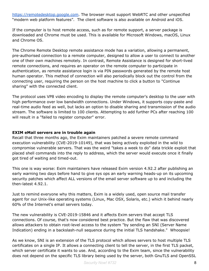[https://remotedesktop.google.com.](https://remotedesktop.google.com/) The browser must support WebRTC and other unspecified "modern web platform features". The client software is also available on Android and iOS.

If the computer is to host remote access, such as for remote support, a server package is downloaded and Chrome must be used. This is available for Microsoft Windows, macOS, Linux and Chrome OS.

The Chrome Remote Desktop remote assistance mode has a variation, allowing a permanent, pre-authorised connection to a remote computer, designed to allow a user to connect to another one of their own machines remotely. In contrast, Remote Assistance is designed for short-lived remote connections, and requires an operator on the remote computer to participate in authentication, as remote assistance login is via PIN passwords generated by the remote host human operator. This method of connection will also periodically block out the control from the connecting user, requiring the person on the host machine to click a button to "Continue sharing" with the connected client.

The protocol uses VP8 video encoding to display the remote computer's desktop to the user with high performance over low bandwidth connections. Under Windows, it supports copy-paste and real-time audio feed as well, but lacks an option to disable sharing and transmission of the audio stream. The software is limited to 100 clients. Attempting to add further PCs after reaching 100 will result in a "failed to register computer" error.

### **EXIM eMail servers are in trouble again**

Recall that three months ago, the Exim maintainers patched a severe remote command execution vulnerability (CVE-2019-10149), that was being actively exploited in the wild to compromise vulnerable servers. That was the weird "takes a week to do" data trickle exploit that placed shell commands into the reply to address, which the server would execute once it finally got tired of waiting and timed-out.

This one is way worse: Exim maintainers have released Exim version 4.92.2 after publishing an early warning two days before hand to give sys ops an early warning heads-up on its upcoming security patches which affect ALL versions of the email server software up to and including the then-latest 4.92.1.

Just to remind everyone why this matters, Exim is a widely used, open source mail transfer agent for our Unix-like operating systems (Linux, Mac OSX, Solaris, etc.) which it behind nearly 60% of the Internet's email servers today.

The new vulnerability is CVE-2019-15846 and it affects Exim servers that accept TLS connections. Of course, that's now considered best practice. But the flaw that was discovered allows attackers to obtain root-level access to the system "by sending an SNI (Server Name Indication) ending in a backslash-null sequence during the initial TLS handshake." Whoopsie!

As we know, SNI is an extension of the TLS protocol which allows servers to host multiple TLS certificates on a single IP. It allows a connecting client to tell the server, in the first TLS packet, which server certificate it wants to use. And, according to the Exim team, since the vulnerability does not depend on the specific TLS library being used by the server, both GnuTLS and OpenSSL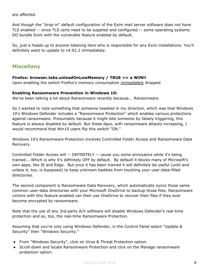are affected.

And though the "drop-in" default configuration of the Exim mail server software does not have TLS enabled -- since TLS certs need to be supplied and configured -- some operating systems DO bundle Exim with the vulnerable feature enabled by default.

So, just a heads up to anyone listening here who is responsible for any Exim installations. You'll definitely want to update to v4.92.2 immediately.

### **Miscellany**

### **Firefox: browser.tabs.unloadOnLowMemory / TRUE == a WIN!!**

Upon enabling the switch Firefox's memory consumption *immediately* dropped

### **Enabling Ransomware Prevention in Windows 10:**

We've been talking a lot about Ransomware recently because... Ransomware.

So I wanted to note something that someone tweeted in my direction, which was that Windows 10's Windows Defender includes a "Ransomware Protection" which enables various protections against ransomware. Presumably because it might bite someone by falsely triggering, this feature is always disabled by default. But these days, with ransomware attacks increasing, I would recommend that Win10 users flip this switch "ON."

Windows 10's Ransomware Protection involves Controlled Folder Access and Ransomware Data Recovery.

Controlled Folder Access will -- DEFINITELY -- cause you some annoyance while it's being trained... Which is why it's definitely OFF by default. By default it blocks many of Microsoft's own apps, like IE and Edge. But once it has been trained it will definitely be useful (until and unless it, too, is bypassed) to keep unknown baddies from touching your user-data-filled directories.

The second component is Ransomware Data Recovery, which automatically syncs those same common user-data directories with your Microsoft OneDrive to backup those files. Ransomware victims with this feature enabled can then use OneDrive to recover their files if they ever become encrypted by ransomware.

Note that the use of any 3rd-party A/V software will disable Windows Defender's real-time protection and so, too, the real-time Ransomware Protection.

Assuming that you're only using Windows Defender, in the Control Panel select "Update & Security" then "Windows Security."

- From "Windows Security", click on Virus & Threat Protection option.
- Scroll down and locate Ransomware Protection and click on the Manage ransomware protection option.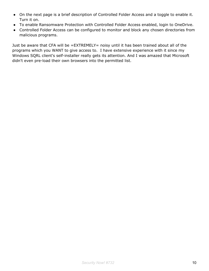- On the next page is a brief description of Controlled Folder Access and a toggle to enable it. Turn it on.
- To enable Ransomware Protection with Controlled Folder Access enabled, login to OneDrive.
- Controlled Folder Access can be configured to monitor and block any chosen directories from malicious programs.

Just be aware that CFA will be =EXTREMELY= noisy until it has been trained about all of the programs which you WANT to give access to. I have extensive experience with it since my Windows SQRL client's self-installer really gets its attention. And I was amazed that Microsoft didn't even pre-load their own browsers into the permitted list.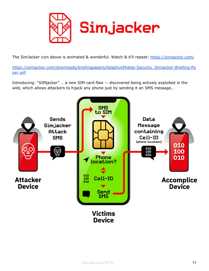

The SimJacker icon above is animated & wonderful. Watch & it'll repeat: <https://simjacker.com/>

[https://simjacker.com/downloads/briefingpapers/AdaptiveMobile-Security\\_Simjacker-Briefing-Pa](https://simjacker.com/downloads/briefingpapers/AdaptiveMobile-Security_Simjacker-Briefing-Paper.pdf) [per.pdf](https://simjacker.com/downloads/briefingpapers/AdaptiveMobile-Security_Simjacker-Briefing-Paper.pdf)

Introducing: "SIMjacker" … a new SIM card flaw -- discovered being actively exploited in the wild, which allows attackers to hijack any phone just by sending it an SMS message…

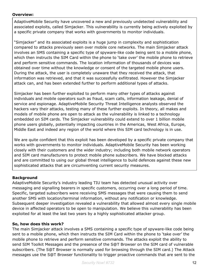### **Overview:**

AdaptiveMobile Security have uncovered a new and previously undetected vulnerability and associated exploits, called Simjacker. This vulnerability is currently being actively exploited by a specific private company that works with governments to monitor individuals.

"Simjacker" and its associated exploits is a huge jump in complexity and sophistication compared to attacks previously seen over mobile core networks. The main Simjacker attack involves an SMS containing a specific type of spyware-like code being sent to a mobile phone, which then instructs the SIM Card within the phone to 'take over' the mobile phone to retrieve and perform sensitive commands. The location information of thousands of devices was obtained over time without the knowledge or consent of the targeted mobile phone users. During the attack, the user is completely unaware that they received the attack, that information was retrieved, and that it was successfully exfiltrated. However the Simjacker attack can, and has been extended further to perform additional types of attacks.

Simjacker has been further exploited to perform many other types of attacks against individuals and mobile operators such as fraud, scam calls, information leakage, denial of service and espionage. AdaptiveMobile Security Threat Intelligence analysts observed the hackers vary their attacks, testing many of these further exploits. In theory, all makes and models of mobile phone are open to attack as the vulnerability is linked to a technology embedded on SIM cards. The Simjacker vulnerability could extend to over 1 billion mobile phone users globally, potentially impacting countries in the Americas, West Africa, Europe, Middle East and indeed any region of the world where this SIM card technology is in use.

We are quite confident that this exploit has been developed by a specific private company that works with governments to monitor individuals. AdaptiveMobile Security has been working closely with their customers and the wider industry; including both mobile network operators and SIM card manufacturers to protect mobile phone subscribers. We have blocked attacks and are committed to using our global threat intelligence to build defences against these new sophisticated attacks that are circumventing current security measures.

### **Background**

AdaptiveMobile Security's industry leading TIU team has detected unusual activity over messaging and signalling bearers in specific customers, occurring over a long period of time. Specific, targeted subscribers were receiving SMS messages that were causing them to send another SMS with location/terminal information, without any notification or knowledge. Subsequent deeper investigation revealed a vulnerability that allowed almost every single mobile device in affected operators to be open to manipulation. We believe this vulnerability has been exploited for at least the last two years by a highly sophisticated attacker group.

### **So, how does this work?**

The main Simjacker attack involves a SMS containing a specific type of spyware-like code being sent to a mobile phone, which then instructs the SIM Card within the phone to 'take over' the mobile phone to retrieve and perform sensitive commands. The attacks exploit the ability to send SIM Toolkit Messages and the presence of the S@T Browser on the SIM card of vulnerable subscribers. (The S@T Browser is normally used for browsing through the SIM card.) The Attack messages use the S@T Browser functionality to trigger proactive commands that are sent to the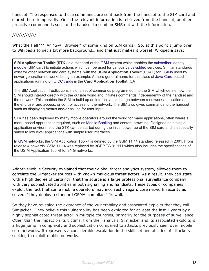handset. The responses to these commands are sent back from the handset to the SIM card and stored there temporarily. Once the relevant information is retrieved from the handset, another proactive command is sent to the handset to send an SMS out with the information.

### //////////////

What the Hell??? An "S@T Browser" of some kind on SIM cards? So, at this point I jump over to Wikipedia to get a bit more background… and that just makes it worse! Wikipedia says:

**SIM Application Toolkit** (**STK**) is a standard of the [GSM](https://en.wikipedia.org/wiki/GSM) system which enables the [subscriber](https://en.wikipedia.org/wiki/Subscriber_identity_module) identity [module](https://en.wikipedia.org/wiki/Subscriber_identity_module) (SIM card) to initiate actions which can be used for various [value-added](https://en.wikipedia.org/wiki/Value-added) services. Similar standards exist for other network and card systems, with the **USIM Application Toolkit** (USAT) for [USIMs](https://en.wikipedia.org/wiki/Universal_Subscriber_Identity_Module) used by newer-generation networks being an example. A more general name for this class of Java [Card-](https://en.wikipedia.org/wiki/Java_Card)based applications running on UICC [cards](https://en.wikipedia.org/wiki/Universal_integrated_circuit_card) is the **Card Application Toolkit** (CAT).

The SIM Application Toolkit consists of a set of commands programmed into the SIM which define how the SIM should interact directly with the outside world and initiates commands independently of the handset and the network. This enables the SIM to build up an interactive exchange between a network application and the end user and access, or control access to, the network. The SIM also gives commands to the handset such as displaying menus and/or asking for user input.

STK has been deployed by many mobile operators around the world for many applications, often where a menu-based approach is required, such as Mobile [Banking](https://en.wikipedia.org/wiki/Mobile_Banking) and content browsing. Designed as a single application environment, the STK can be started during the initial power up of the SIM card and is especially suited to low level applications with simple user interfaces.

In [GSM](https://en.wikipedia.org/wiki/GSM) networks, the SIM Application Toolkit is defined by the GSM 11.14 standard released in 2001. From release 4 onwards, GSM 11.14 was replaced by 3GPP TS 31.111 which also includes the specifications of the USIM Application Toolkit for 3/4G networks.

AdaptiveMobile Security explained that their global threat analytics system, allowed them to correlate the Simjacker sources with known malicious threat actors. As a result, they can state with a high degree of certainty, that the source is a large professional surveillance company, with very sophisticated abilities in both signalling and handsets. These types of companies exploit the fact that some mobile operators may incorrectly regard core network security as solved if they deploy a standard GSMA 'compliant' firewall.

So they have revealed the existence of the vulnerability and associated exploits that they call Simjacker. They believe this vulnerability has been exploited for at least the last 2 years by a highly sophisticated threat actor in multiple countries, primarily for the purposes of surveillance. Other than the impact on its victims, from their analysis, Simjacker and its associated exploits is a huge jump in complexity and sophistication compared to attacks previously seen over mobile core networks. It represents a considerable escalation in the skill set and abilities of attackers seeking to exploit mobile networks.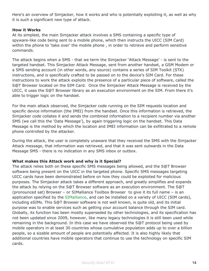Here's an overview of Simjacker, how it works and who is potentially exploiting it, as well as why it is such a significant new type of attack.

### **How it Works**

At its simplest, the main Simjacker attack involves a SMS containing a specific type of spyware-like code being sent to a mobile phone, which then instructs the UICC (SIM Card) within the phone to 'take over' the mobile phone, in order to retrieve and perform sensitive commands.

The attack begins when a SMS - that we term the Simjacker 'Attack Message' - is sent to the targeted handset. This Simjacker Attack Message, sent from another handset, a GSM Modem or a SMS sending account (in other words, any source) contains a series of SIM Toolkit (STK) instructions, and is specifically crafted to be passed on to the device's SIM Card. For these instructions to work the attack exploits the presence of a particular piece of software, called the S@T Browser located on the SIM Card. Once the Simjacker Attack Message is received by the UICC, it uses the S@T Browser library as an execution environment on the SIM. From there it's able to trigger logic on the handset.

For the main attack observed, the Simjacker code running on the SIM requests location and specific device information (the IMEI) from the handset. Once this information is retrieved, the Simjacker code collates it and sends the combined information to a recipient number via another SMS (we call this the 'Data Message'), by again triggering logic on the handset. This Data Message is the method by which the location and IMEI information can be exfiltrated to a remote phone controlled by the attacker.

During the attack, the user is completely unaware that they received the SMS with the Simjacker Attack message, that information was retrieved, and that it was sent outwards in the Data Message SMS - there is no indication in any SMS inbox or outbox.

#### **What makes this Attack work and why is it Special?**

The attack relies both on these specific SMS messages being allowed, and the S@T Browser software being present on the UICC in the targeted phone. Specific SMS messages targeting UICC cards have been demonstrated before on how they could be exploited for malicious purposes. The Simjacker attack takes a different approach, and greatly simplifies and expands the attack by relying on the S@T Browser software as an execution environment. The S@T (pronounced sat) Browser – or SIMalliance Toolbox Browser to give it its full name – is an application specified by the [SIMalliance,](https://simalliance.org/) and can be installed on a variety of UICC (SIM cards), including eSIMs. This S@T Browser software is not well known, is quite old, and its initial purpose was to enable services such as getting your account balance through the SIM card. Globally, its function has been mostly superseded by other technologies, and its specification has not been updated since 2009, however, like many legacy technologies it is still been used while remaining in the background. In this case we have observed the S@T protocol being used by mobile operators in at least 30 countries whose cumulative population adds up to over a billion people, so a sizable amount of people are potentially affected. It is also highly likely that additional countries have mobile operators that continue to use the technology on specific SIM cards.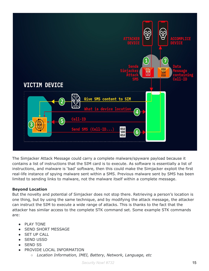

The Simjacker Attack Message could carry a complete malware/spyware payload because it contains a list of instructions that the SIM card is to execute. As software is essentially a list of instructions, and malware is 'bad' software, then this could make the Simjacker exploit the first real-life instance of spying malware sent within a SMS. Previous malware sent by SMS has been limited to sending links to malware, not the malware itself within a complete message.

### **Beyond Location**

But the novelty and potential of Simjacker does not stop there. Retrieving a person's location is one thing, but by using the same technique, and by modifying the attack message, the attacker can instruct the SIM to execute a wide range of attacks. This is thanks to the fact that the attacker has similar access to the complete STK command set. Some example STK commands are:

- **PLAY TONE**
- **SEND SHORT MESSAGE**
- **SET UP CALL**
- SEND USSD
- SEND SS
- PROVIDE LOCAL INFORMATION
	- *Location Information, IMEI, Battery, Network, Language, etc*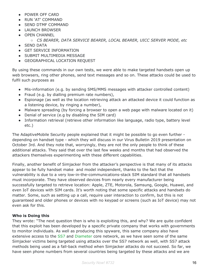- POWER OFF CARD
- RUN 'AT' COMMAND
- SEND DTMF COMMAND
- LAUNCH BROWSER
- **OPEN CHANNEL** 
	- *CS BEARER, DATA SERVICE BEARER, LOCAL BEARER, UICC SERVER MODE, etc*
- SEND DATA
- **GET SERVICE INFORMATION**
- SUBMIT MULTIMEDIA MESSAGE
- **GEOGRAPHICAL LOCATION REQUEST**

By using these commands in our own tests, we were able to make targeted handsets open up web browsers, ring other phones, send text messages and so on. These attacks could be used to fulfil such purposes as

- Mis-information (e.g. by sending SMS/MMS messages with attacker controlled content)
- Fraud (e.g. by dialling premium rate numbers),
- Espionage (as well as the location retrieving attack an attacked device it could function as a listening device, by ringing a number),
- Malware spreading (by forcing a browser to open a web page with malware located on it)
- Denial of service (e.g by disabling the SIM card)
- Information retrieval (retrieve other information like language, radio type, battery level etc.)

The AdaptiveMobile Security people explained that it might be possible to go even further depending on handset type - which they will discuss in our Virus Bulletin 2019 presentation on October 3rd. And they note that, worryingly, they are not the only people to think of these additional attacks. They said that over the last few weeks and months that had observed the attackers themselves experimenting with these different capabilities.

Finally, another benefit of Simjacker from the attacker's perspective is that many of its attacks appear to be fully handset make and model independent, thanks to the fact that the vulnerability is due to a very low-in-the-communications-stack SIM standard that all handsets must incorporate. They have observed devices from nearly every manufacturer being successfully targeted to retrieve location: Apple, ZTE, Motorola, Samsung, Google, Huawei, and even IoT devices with SIM cards. It's worth noting that some specific attacks and handsets do matter. Some, such as setting up a call, require user interaction to confirm, but this is not guaranteed and older phones or devices with no keypad or screens (such as IoT device) may not even ask for this.

### **Who is Doing this**

They wrote: "The next question then is who is exploiting this, and why? We are quite confident that this exploit has been developed by a specific private company that works with governments to monitor individuals. As well as producing this spyware, this same company also have extensive access to the [SS7](https://www.forbes.com/sites/parmyolson/2015/10/14/hackers-mobile-network-backbone-ss7/) and [Diameter](https://www.adaptivemobile.com/blog/measuring-the-diameter-protecting-4g-networks) core network, as we have seen some of the same Simjacker victims being targeted using attacks over the SS7 network as well, with SS7 attack methods being used as a fall-back method when Simjacker attacks do not succeed. So far, we have seen phone numbers from several countries being targeted by these attacks and we are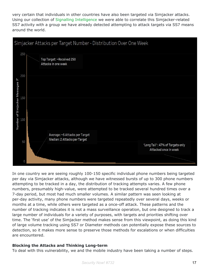very certain that individuals in other countries have also been targeted via Simjacker attacks. Using our collection of Signalling [Intelligence](https://www.adaptivemobile.com/products/sigil-signalling-intelligence-layer) we were able to correlate this Simjacker-related SS7 activity with a group we have already detected attempting to attack targets via SS7 means around the world.



In one country we are seeing roughly 100-150 specific individual phone numbers being targeted per day via Simjacker attacks, although we have witnessed bursts of up to 300 phone numbers attempting to be tracked in a day, the distribution of tracking attempts varies. A few phone numbers, presumably high-value, were attempted to be tracked several hundred times over a 7-day period, but most had much smaller volumes. A similar pattern was seen looking at per-day activity, many phone numbers were targeted repeatedly over several days, weeks or months at a time, while others were targeted as a once-off attack. These patterns and the number of tracking indicates it is not a mass surveillance operation, but one designed to track a large number of individuals for a variety of purposes, with targets and priorities shifting over time. The 'first use' of the Simjacker method makes sense from this viewpoint, as doing this kind of large volume tracking using SS7 or Diameter methods can potentially expose these sources to detection, so it makes more sense to preserve those methods for escalations or when difficulties are encountered.

### **Blocking the Attacks and Thinking Long-term**

To deal with this vulnerability, we and the mobile industry have been taking a number of steps.